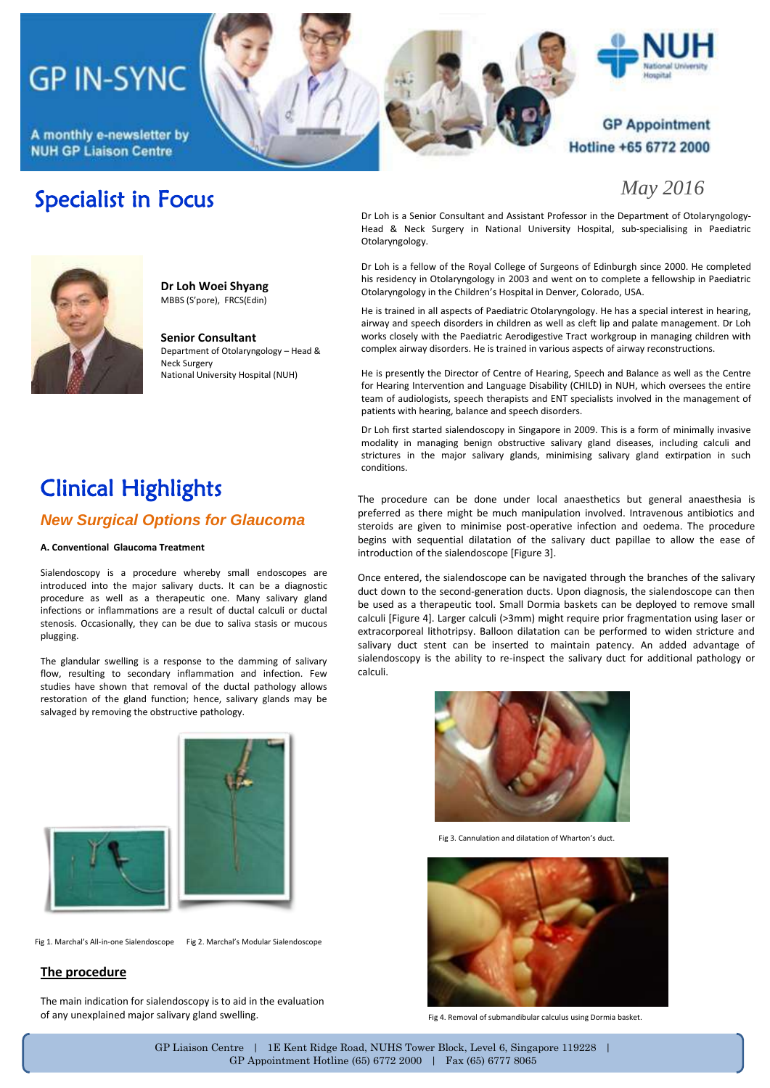# **GP IN-SYNC**

A monthly e-newsletter by **NUH GP Liaison Centre** 







### **GP Appointment** Hotline +65 6772 2000

*May 2016*

## Specialist in Focus



**Dr Loh Woei Shyang** MBBS (S'pore), FRCS(Edin)

**Senior Consultant**  Department of Otolaryngology – Head & Neck Surgery National University Hospital (NUH)

Dr Loh is a Senior Consultant and Assistant Professor in the Department of Otolaryngology-Head & Neck Surgery in National University Hospital, sub-specialising in Paediatric Otolaryngology.

Dr Loh is a fellow of the Royal College of Surgeons of Edinburgh since 2000. He completed his residency in Otolaryngology in 2003 and went on to complete a fellowship in Paediatric Otolaryngology in the Children's Hospital in Denver, Colorado, USA.

He is trained in all aspects of Paediatric Otolaryngology. He has a special interest in hearing, airway and speech disorders in children as well as cleft lip and palate management. Dr Loh works closely with the Paediatric Aerodigestive Tract workgroup in managing children with complex airway disorders. He is trained in various aspects of airway reconstructions.

He is presently the Director of Centre of Hearing, Speech and Balance as well as the Centre for Hearing Intervention and Language Disability (CHILD) in NUH, which oversees the entire team of audiologists, speech therapists and ENT specialists involved in the management of patients with hearing, balance and speech disorders.

Dr Loh first started sialendoscopy in Singapore in 2009. This is a form of minimally invasive modality in managing benign obstructive salivary gland diseases, including calculi and strictures in the major salivary glands, minimising salivary gland extirpation in such conditions.

The procedure can be done under local anaesthetics but general anaesthesia is preferred as there might be much manipulation involved. Intravenous antibiotics and steroids are given to minimise post-operative infection and oedema. The procedure begins with sequential dilatation of the salivary duct papillae to allow the ease of

Once entered, the sialendoscope can be navigated through the branches of the salivary duct down to the second-generation ducts. Upon diagnosis, the sialendoscope can then be used as a therapeutic tool. Small Dormia baskets can be deployed to remove small calculi [Figure 4]. Larger calculi (>3mm) might require prior fragmentation using laser or extracorporeal lithotripsy. Balloon dilatation can be performed to widen stricture and salivary duct stent can be inserted to maintain patency. An added advantage of sialendoscopy is the ability to re-inspect the salivary duct for additional pathology or

introduction of the sialendoscope [Figure 3].

## Clinical Highlights *New Surgical Options for Glaucoma*

### **A. Conventional Glaucoma Treatment**

Sialendoscopy is a procedure whereby small endoscopes are introduced into the major salivary ducts. It can be a diagnostic procedure as well as a therapeutic one. Many salivary gland infections or inflammations are a result of ductal calculi or ductal stenosis. Occasionally, they can be due to saliva stasis or mucous plugging.

The glandular swelling is a response to the damming of salivary flow, resulting to secondary inflammation and infection. Few studies have shown that removal of the ductal pathology allows restoration of the gland function; hence, salivary glands may be salvaged by removing the obstructive pathology.



Fig 1. Marchal's All-in-one Sialendoscope Fig 2. Marchal's Modular Sialendoscope

### **The procedure**

The main indication for sialendoscopy is to aid in the evaluation of any unexplained major salivary gland swelling.



Fig 3. Cannulation and dilatation of Wharton's duct.



Fig 4. Removal of submandibular calculus using Dormia basket.

GP Liaison Centre | 1E Kent Ridge Road, NUHS Tower Block, Level 6, Singapore 119228 | GP Appointment Hotline (65) 6772 2000 | Fax (65) 6777 8065

calculi.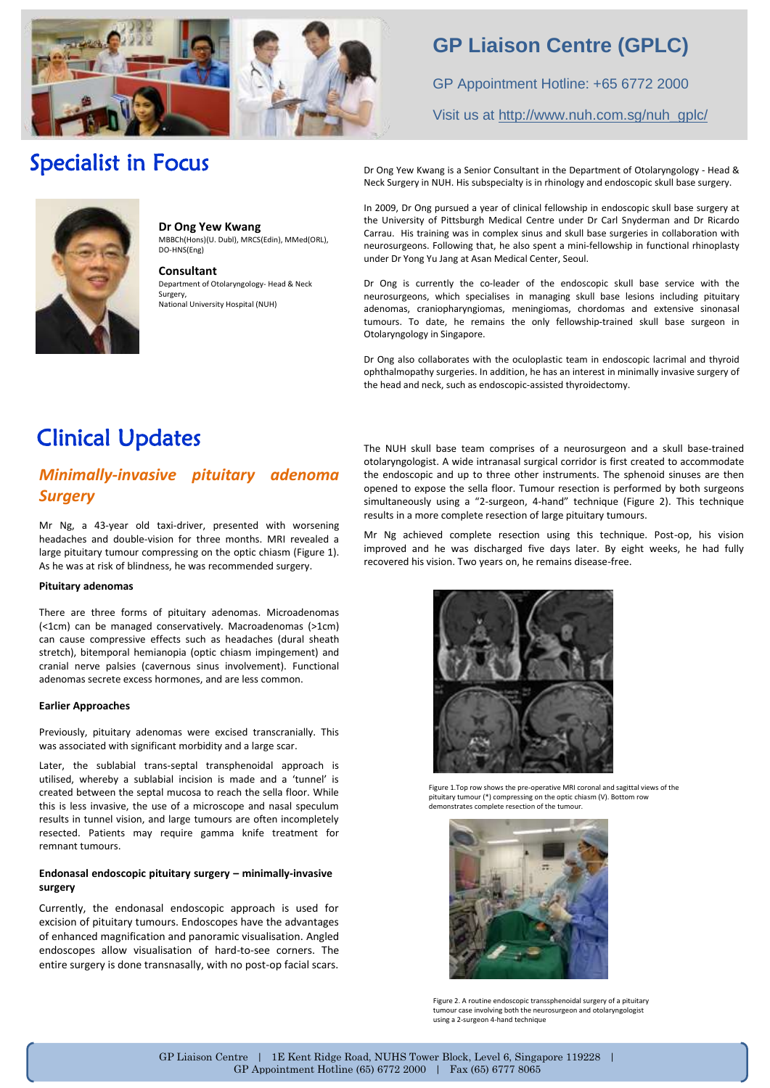

## **GP Liaison Centre (GPLC)**

GP Appointment Hotline: +65 6772 2000

### Visit us at [http://www.nuh.com.sg/nuh\\_gplc/](http://www.nuh.com.sg/nuh_gplc/)

## Specialist in Focus



**Dr Ong Yew Kwang** MBBCh(Hons)(U. Dubl), MRCS(Edin), MMed(ORL), DO-HNS(Eng)

**Consultant** Department of Otolaryngology- Head & Neck Surgery, National University Hospital (NUH)

Dr Ong Yew Kwang is a Senior Consultant in the Department of Otolaryngology - Head & Neck Surgery in NUH. His subspecialty is in rhinology and endoscopic skull base surgery.

In 2009, Dr Ong pursued a year of clinical fellowship in endoscopic skull base surgery at the University of Pittsburgh Medical Centre under Dr Carl Snyderman and Dr Ricardo Carrau. His training was in complex sinus and skull base surgeries in collaboration with neurosurgeons. Following that, he also spent a mini-fellowship in functional rhinoplasty under Dr Yong Yu Jang at Asan Medical Center, Seoul.

Dr Ong is currently the co-leader of the endoscopic skull base service with the neurosurgeons, which specialises in managing skull base lesions including pituitary adenomas, craniopharyngiomas, meningiomas, chordomas and extensive sinonasal tumours. To date, he remains the only fellowship-trained skull base surgeon in Otolaryngology in Singapore.

Dr Ong also collaborates with the oculoplastic team in endoscopic lacrimal and thyroid ophthalmopathy surgeries. In addition, he has an interest in minimally invasive surgery of the head and neck, such as endoscopic-assisted thyroidectomy.

## Clinical Updates

### *Minimally-invasive pituitary adenoma Surgery*

Mr Ng, a 43-year old taxi-driver, presented with worsening headaches and double-vision for three months. MRI revealed a large pituitary tumour compressing on the optic chiasm (Figure 1). As he was at risk of blindness, he was recommended surgery.

### **Pituitary adenomas**

There are three forms of pituitary adenomas. Microadenomas (<1cm) can be managed conservatively. Macroadenomas (>1cm) can cause compressive effects such as headaches (dural sheath stretch), bitemporal hemianopia (optic chiasm impingement) and cranial nerve palsies (cavernous sinus involvement). Functional adenomas secrete excess hormones, and are less common.

#### **Earlier Approaches**

Previously, pituitary adenomas were excised transcranially. This was associated with significant morbidity and a large scar.

Later, the sublabial trans-septal transphenoidal approach is utilised, whereby a sublabial incision is made and a 'tunnel' is created between the septal mucosa to reach the sella floor. While this is less invasive, the use of a microscope and nasal speculum results in tunnel vision, and large tumours are often incompletely resected. Patients may require gamma knife treatment for remnant tumours.

### **Endonasal endoscopic pituitary surgery – minimally-invasive surgery**

Currently, the endonasal endoscopic approach is used for excision of pituitary tumours. Endoscopes have the advantages of enhanced magnification and panoramic visualisation. Angled endoscopes allow visualisation of hard-to-see corners. The entire surgery is done transnasally, with no post-op facial scars.

The NUH skull base team comprises of a neurosurgeon and a skull base-trained otolaryngologist. A wide intranasal surgical corridor is first created to accommodate the endoscopic and up to three other instruments. The sphenoid sinuses are then opened to expose the sella floor. Tumour resection is performed by both surgeons simultaneously using a "2-surgeon, 4-hand" technique (Figure 2). This technique results in a more complete resection of large pituitary tumours.

Mr Ng achieved complete resection using this technique. Post-op, his vision improved and he was discharged five days later. By eight weeks, he had fully recovered his vision. Two years on, he remains disease-free.



Figure 1.Top row shows the pre-operative MRI coronal and sagittal views of the pituitary tumour (\*) compressing on the optic chiasm (V). Bottom row demonstrates complete resection of the tumour.



Figure 2. A routine endoscopic transsphenoidal surgery of a pituitary tumour case involving both the neurosurgeon and otolaryngologist using a 2-surgeon 4-hand technique